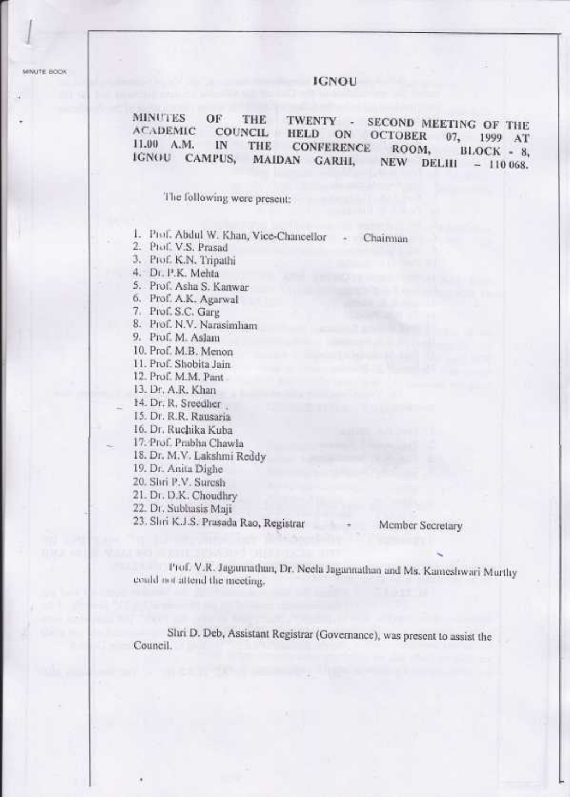MINUTE BOOK

### **IGNOU**

**MINUTES** OF THE TWENTY -SECOND MEETING OF THE **ACADEMIC** COUNCIL **HELD** ON **OCTOBER**  $07.$ 1999 AT 11.00 A.M. IN THE **CONFERENCE** ROOM. BLOCK - 8. **IGNOU** CAMPUS, MAIDAN GARHI, DELIII **NEW**  $-110068.$ 

The following were present:

1. Prof. Abdul W. Khan, Vice-Chancellor - Chairman

2. Prof. V.S. Prasad

- 3. Prof. K.N. Tripathi
- 4. Dr. P.K. Mehta

5. Prof. Asha S. Kanwar

6. Prof. A.K. Agarwal

7. Prof. S.C. Garg

- 8. Prof. N.V. Narasimham
- 9. Prof. M. Aslam

10. Prof. M.B. Menon

11. Prof. Shobita Jain

12. Prof. M.M. Pant

13. Dr. A.R. Khan

14. Dr. R. Sreedher

15. Dr. R.R. Rausaria

16. Dr. Ruchika Kuba

- 17. Prof. Prabha Chawla
- 18. Dr. M.V. Lakshmi Reddy

19. Dr. Anita Dighe

20. Shri P.V. Suresh

21. Dr. D.K. Choudhry

22. Dr. Subhasis Maji

23. Shri K.J.S. Prasada Rao, Registrar

Member Secretary

Prof. V.R. Jagannathan, Dr. Neela Jagannathan and Ms. Kameshwari Murthy could not attend the meeting.

Shri D. Deb, Assistant Registrar (Governance), was present to assist the Council.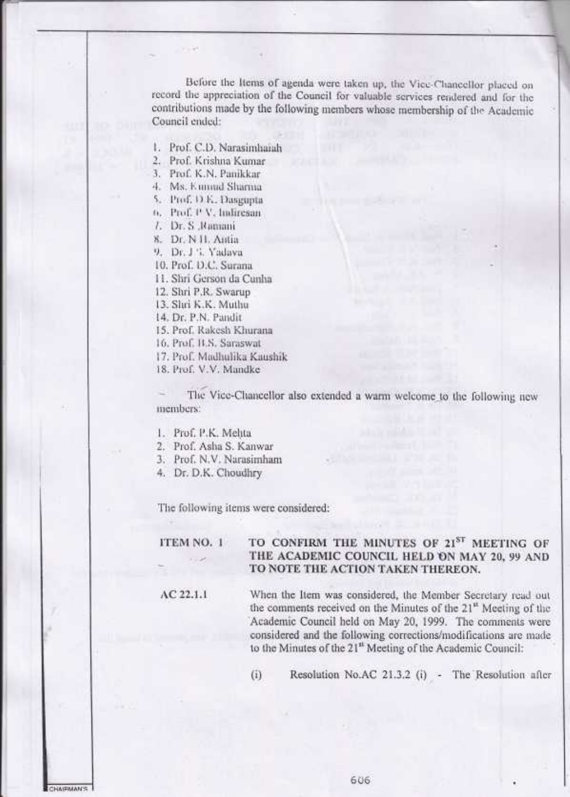Before the Items of agenda were taken up, the Vice-Chancellor placed on record the appreciation of the Council for valuable services rendered and for the contributions made by the following members whose membership of the Academic Council ended:

1. Prof. C.D. Narasimhaiah

2. Prof. Krishna Kumar

3. Prof. K.N. Panikkar

4. Ms. Emmd Sharma

5. Prof. D.E. Dasgupta

6. Prof. P.V. Indiresan

7. Dr. S. Ramani

8. Dr. N H. Antia

9. Dr. J. V. Yadava

10. Prof. D.C. Surana

11. Shri Gerson da Cunha

12. Shri P.R. Swarup

13. Shri K.K. Muthu

14. Dr. P.N. Pandit

15. Prof. Rakesh Khurana

16, Prof. B.S. Saraswat

17. Prof. Madhulika Kaushik

18. Prof. V.V. Mandke

The Vice-Chancellor also extended a warm welcome to the following new members:

1. Prof. P.K. Mehta

2. Prof. Asha S. Kanwar

3. Prof. N.V. Narasimham

4. Dr. D.K. Choudhry

The following items were considered:

#### TO CONFIRM THE MINUTES OF 21ST MEETING OF ITEM NO. 1 THE ACADEMIC COUNCIL HELD ON MAY 20, 99 AND TO NOTE THE ACTION TAKEN THEREON.

 $AC$  22.1.1

When the Item was considered, the Member Secretary read out the comments received on the Minutes of the  $21<sup>n</sup>$  Meeting of the Academic Council held on May 20, 1999. The comments were considered and the following corrections/modifications are made to the Minutes of the 21<sup>st</sup> Meeting of the Academic Council:

Resolution No.AC 21.3.2 (i) - The Resolution after  $(i)$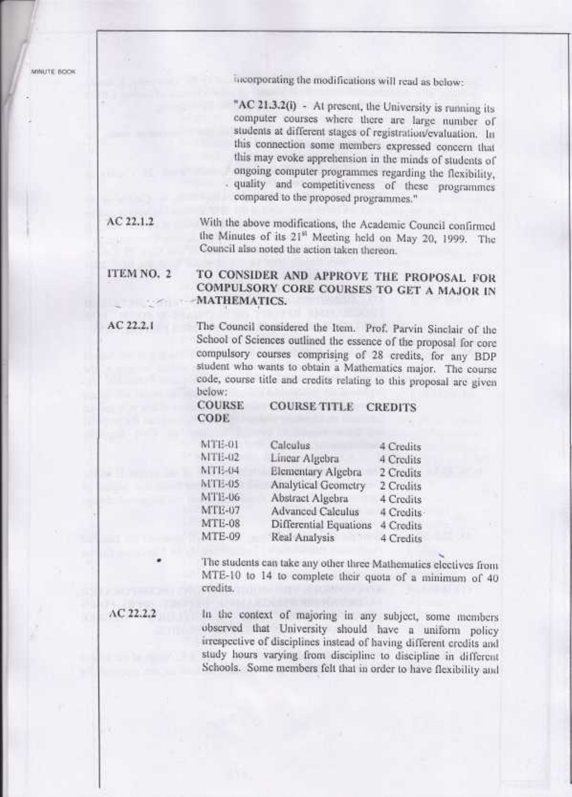incorporating the modifications will read as below:

"AC 21.3.2(i) - At present, the University is running its computer courses where there are large number of students at different stages of registration/evaluation. In this connection some members expressed concern that this may evoke apprehension in the minds of students of ongoing computer programmes regarding the flexibility, quality and competitiveness of these programmes compared to the proposed programmes."

 $AC22.1.2$ With the above modifications, the Academic Council confirmed the Minutes of its 21<sup>st</sup> Meeting held on May 20, 1999. The Council also noted the action taken thereon.

#### ITEM NO. 2 TO CONSIDER AND APPROVE THE PROPOSAL FOR COMPULSORY CORE COURSES TO GET A MAJOR IN MATHEMATICS.

The Council considered the Item. Prof. Parvin Sinclair of the School of Sciences outlined the essence of the proposal for core compulsory courses comprising of 28 credits, for any BDP student who wants to obtain a Mathematics major. The course code, course title and credits relating to this proposal are given below:

> **COURSE COURSE TITLE CREDITS** CODE

| TTE-01        | Calculus               | 4 Credits  |  |
|---------------|------------------------|------------|--|
| ITE-02        | Linear Algebra         | 4 Credits  |  |
| 1713-04       | Elementary Algebra     | 2 Credits  |  |
| TTE-05        | Analytical Geometry    | 2 Credits  |  |
| TTE-06        | Abstract Algebra       | 4 Credits  |  |
| TTE-07        | Advanced Calculus      | 4 Credits- |  |
| $ATE-08$      | Differential Equations | 4 Credits  |  |
| <b>ATE-09</b> | Real Analysis          | 4 Credits  |  |
|               |                        |            |  |

The students can take any other three Mathematics electives from MTE-10 to 14 to complete their quota of a minimum of 40 credits.

 $AC22.2.2$ 

AC 22.2.1

N A

h

In the context of majoring in any subject, some members observed that University should have a uniform policy irrespective of disciplines instead of having different credits and study hours varying from discipline to discipline in different Schools. Some members felt that in order to have flexibility and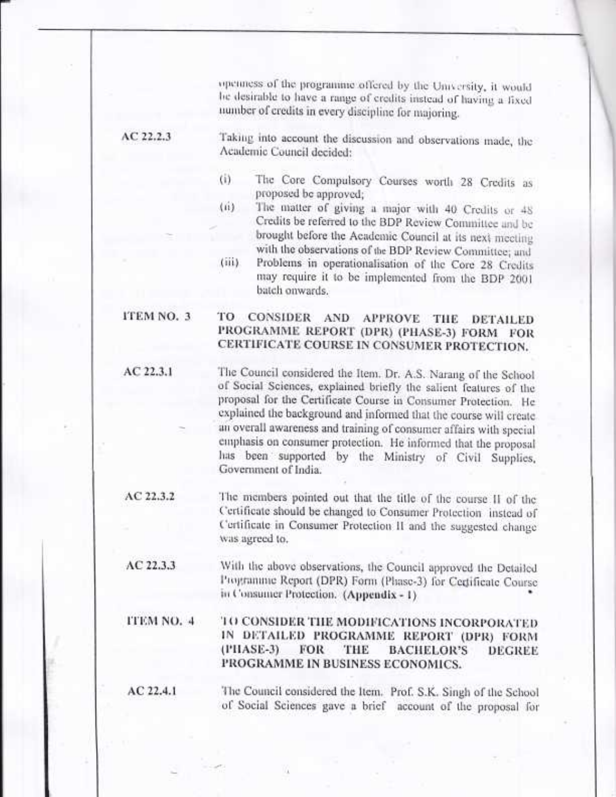openness of the programme offered by the University, it would he desirable to have a range of credits instead of having a fixed number of credits in every discipline for majoring.

 $AC22.2.3$ 

AC 22.3.1

Taking into account the discussion and observations made, the Academic Council decided:

- The Core Compulsory Courses worth 28 Credits as  $(i)$ proposed be approved:
- The matter of giving a major with 40 Credits or 48  $(ii)$ Credits be referred to the BDP Review Committee and be brought before the Academic Council at its next meeting with the observations of the BDP Review Committee; and
- Problems in operationalisation of the Core 28 Credits  $(iii)$ may require it to be implemented from the BDP 2001 batch onwards.

#### TO CONSIDER AND APPROVE THE ITEM NO. 3 **DETAILED** PROGRAMME REPORT (DPR) (PHASE-3) FORM FOR CERTIFICATE COURSE IN CONSUMER PROTECTION.

The Council considered the Item. Dr. A.S. Narang of the School of Social Sciences, explained briefly the salient features of the proposal for the Certificate Course in Consumer Protection. He explained the background and informed that the course will create an overall awareness and training of consumer affairs with special emphasis on consumer protection. He informed that the proposal has been supported by the Ministry of Civil Supplies, Government of India.

 $AC22.3.2$ The members pointed out that the title of the course II of the Certificate should be changed to Consumer Protection instead of Certificate in Consumer Protection II and the suggested change was agreed to.

 $AC22.3.3$ With the above observations, the Council approved the Detailed Programme Report (DPR) Form (Phase-3) for Certificate Course in Consumer Protection. (Appendix - 1)

#### **ITEM NO. 4** TO CONSIDER THE MODIFICATIONS INCORPORATED IN DETAILED PROGRAMME REPORT (DPR) FORM  $(1'IIASE-3)$ FOR THE **BACHELOR'S DEGREE** PROGRAMME IN BUSINESS ECONOMICS.

 $AC$  22.4.1 The Council considered the Item. Prof. S.K. Singh of the School of Social Sciences gave a brief account of the proposal for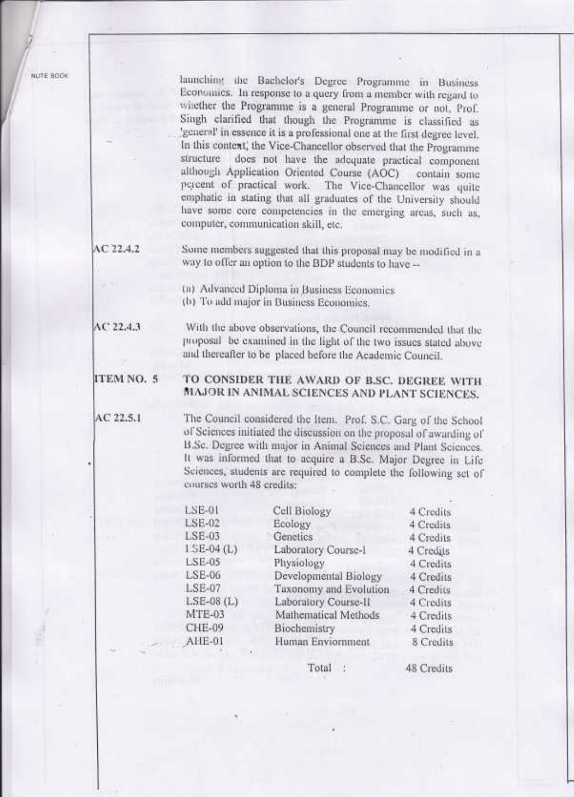launching the Bachelor's Degree Programme in Business Economics. In response to a query from a member with regard to whether the Programme is a general Programme or not, Prof. Singh clarified that though the Programme is classified as 'general' in essence it is a professional one at the first degree level. In this context, the Vice-Chancellor observed that the Programme structure does not have the adequate practical component although Application Oriented Course (AOC) contain some percent of practical work. The Vice-Chancellor was quite emphatic in stating that all graduates of the University should have some core competencies in the emerging areas, such as, computer, communication skill, etc.

 $AC22.4.2$ 

Some members suggested that this proposal may be modified in a way to offer an option to the BDP students to have --

(a) Advanced Diploma in Business Economics

(b) To add major in Business Economics.

 $AC22.4.3$ With the above observations, the Council recommended that the proposal be examined in the light of the two issues stated above and thereafter to be placed before the Academic Council.

#### ITEM NO. 5 TO CONSIDER THE AWARD OF B.SC. DEGREE WITH MAJOR IN ANIMAL SCIENCES AND PLANT SCIENCES.

 $AC22.5.1$ 

The Council considered the Item. Prof. S.C. Garg of the School of Sciences initiated the discussion on the proposal of awarding of B.Sc. Degree with major in Animal Sciences and Plant Sciences. It was informed that to acquire a B.Sc. Major Degree in Life Sciences, students are required to complete the following set of courses worth 48 credits:

| SE-01         | Cell Biology           | 4 Credits |
|---------------|------------------------|-----------|
| $LSE-02$      | Ecology                | 4 Credits |
| $LSE-03$      | Genetics               | 4 Credits |
| $LSE-04$ (L)  | Laboratory Course-1    | 4 Credits |
| $LSE-05$      | Physiology             | 4 Credits |
| LSE-06        | Developmental Biology  | 4 Credits |
| LSE-07        | Taxonomy and Evolution | 4 Credits |
| $LSE-08$ (L)  | Laboratory Course-II   | 4 Credits |
| <b>MTE-03</b> | Mathematical Methods   | 4 Credits |
| CHE-09        | Biochemistry           | 4 Credits |
| AHE-01        | Human Enviornment      | 8 Credits |
|               |                        |           |

Total

48 Credits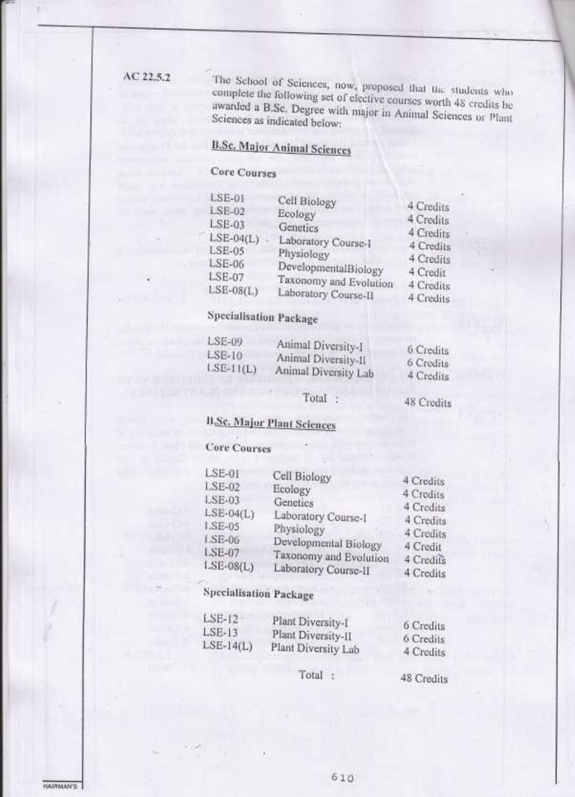### $AC22.5.2$

The School of Sciences, now, proposed that the students who complete the following set of elective courses worth 48 credits be awarded a B.Sc. Degree with major in Animal Sciences or Plant Sciences as indicated below:

# **B.Sc. Major Animal Sciences**

# Core Courses

| $LSE-0$<br>LSE-02<br>$LSE-03$<br>$LSE-04(L)$<br>LSE-05<br>LSE-06<br>LSE-07 | Cell Biology<br>Ecology<br>Genetics<br>Laboratory Course-1<br>Physiology<br>DevelopmentalBiology<br>Taxonomy and Evolution | 4 Credits<br>4 Credits<br>4 Credits<br>4 Credits<br>4 Credits<br>4 Credit |
|----------------------------------------------------------------------------|----------------------------------------------------------------------------------------------------------------------------|---------------------------------------------------------------------------|
| $LSE-08(L)$                                                                | Laboratory Course-II                                                                                                       | 4 Credits<br>4 Credits                                                    |

# **Specialisation Package**

| LSE-09      | Animal Diversity-I   |           |
|-------------|----------------------|-----------|
| $LSE-10$    | Animal Diversity-II  | 6 Credits |
| $LSE-11(L)$ |                      | 6 Credits |
|             | Animal Diversity Lab | 4 Credits |

### Total :

48 Credits

# **B.Sc. Major Plant Sciences**

## **Core Courses**

| $LSE-01$      | Cell Biology           |           |
|---------------|------------------------|-----------|
| <b>LSE-02</b> | Ecology                | 4 Credits |
| LSE-03        | Genetics               | 4 Credits |
|               |                        | 4 Credits |
| $LSE-04(L)$   | Laboratory Course-I    | 4 Credits |
| LSE-05        | Physiology             | 4 Credits |
| LSE-06        | Developmental Biology  |           |
| LSE-07        |                        | 4 Credit  |
| $LSE-08(L)$   | Taxonomy and Evolution | 4 Credits |
|               | Laboratory Course-II   | 4 Credite |

# **Specialisation Package**

| $LSE-12$    | Plant Diversity-I   | 6 Credits |
|-------------|---------------------|-----------|
| $LSE-13$    |                     |           |
|             | Plant Diversity-II  | 6 Credits |
| $LSE-14(L)$ | Plant Diversity Lab | 4 Credits |

Total :

48 Credits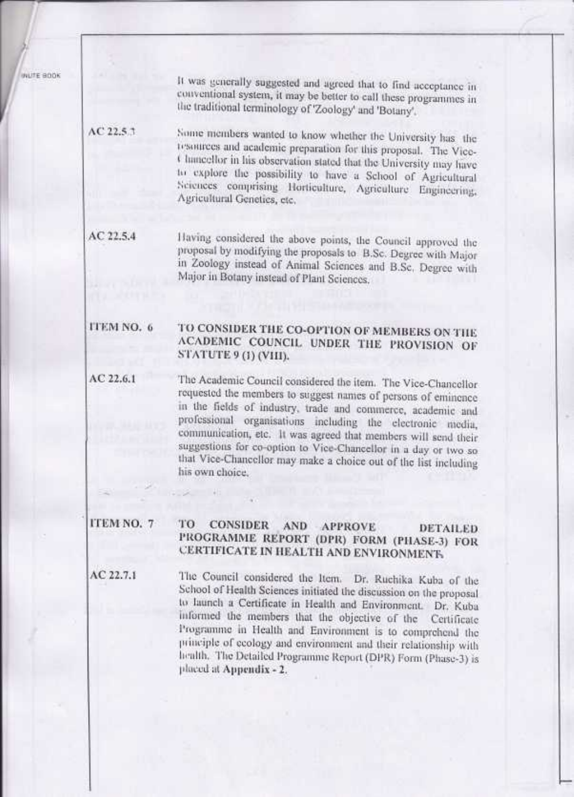WUTE BOOK

It was generally suggested and agreed that to find acceptance in conventional system, it may be better to call these programmes in the traditional terminology of 'Zoology' and 'Botany'.

 $AC22.5.1$ Some members wanted to know whether the University has the resources and academic preparation for this proposal. The Vice-Chancellor in his observation stated that the University may have to explore the possibility to have a School of Agricultural Sciences comprising Horticulture, Agriculture Engineering, Agricultural Genetics, etc.

Having considered the above points, the Council approved the  $AC$  22.5.4 proposal by modifying the proposals to B.Sc. Degree with Major in Zoology instead of Animal Sciences and B.Sc. Degree with Major in Botany instead of Plant Sciences.

#### TO CONSIDER THE CO-OPTION OF MEMBERS ON THE **ITEM NO. 6** ACADEMIC COUNCIL UNDER THE PROVISION OF STATUTE 9 (1) (VHI).

The Academic Council considered the item. The Vice-Chancellor AC 22.6.1 requested the members to suggest names of persons of eminence in the fields of industry, trade and commerce, academic and professional organisations including the electronic media, communication, etc. It was agreed that members will send their suggestions for co-option to Vice-Chancellor in a day or two so that Vice-Chancellor may make a choice out of the list including his own choice.

#### ITEM NO. 7 TO **CONSIDER** AND APPROVE **DETAILED** PROGRAMME REPORT (DPR) FORM (PHASE-3) FOR CERTIFICATE IN HEALTH AND ENVIRONMENT.

AC 22.7.1

The Council considered the Item. Dr. Ruchika Kuba of the School of Health Sciences initiated the discussion on the proposal to launch a Certificate in Health and Environment. Dr. Kuba informed the members that the objective of the Certificate Programme in Health and Environment is to comprehend the principle of ecology and environment and their relationship with health. The Detailed Programme Report (DPR) Form (Phase-3) is placed at Appendix - 2.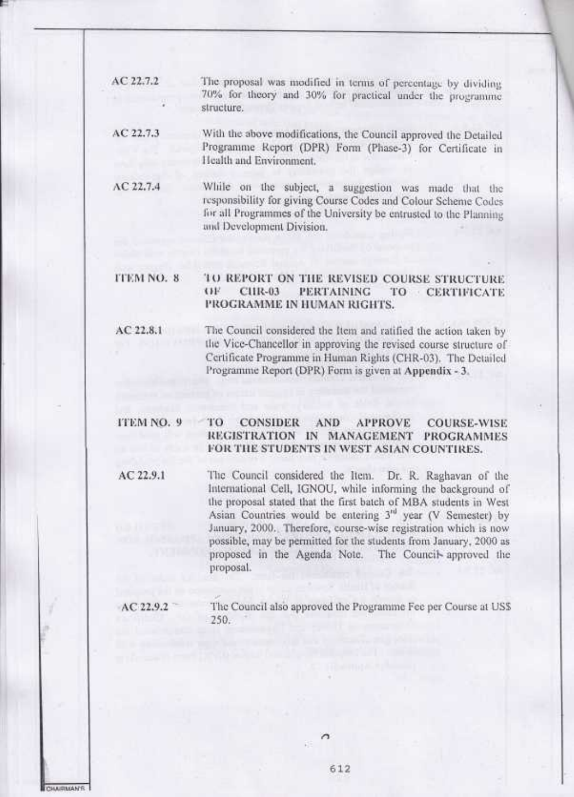| AC 22.7.2 | The proposal was modified in terms of percentage by dividing                                                                |
|-----------|-----------------------------------------------------------------------------------------------------------------------------|
|           | 70% for theory and 30% for practical under the programme<br>structure.                                                      |
| AC 22.7.3 | With the above modifications, the Council approved the Detailed<br>Programme Report (DPR) Form (Phase-3) for Certificate in |

Health and Environment.

AC 22.7.4 While on the subject, a suggestion was made that the responsibility for giving Course Codes and Colour Scheme Codes for all Programmes of the University be entrusted to the Planning and Development Division.

#### **TTEM NO. 8** TO REPORT ON THE REVISED COURSE STRUCTURE  $CP$ CHR-03 **PERTAINING** TO CERTIFICATE PROGRAMME IN HUMAN RIGHTS.

The Council considered the Item and ratified the action taken by AC 22.8.1 the Vice-Chancellor in approving the revised course structure of Certificate Programme in Human Rights (CHR-03). The Detailed Programme Report (DPR) Form is given at Appendix - 3.

# ITEM NO. 9

#### **CONSIDER AND** TО **APPROVE COURSE-WISE** REGISTRATION IN MANAGEMENT PROGRAMMES FOR THE STUDENTS IN WEST ASIAN COUNTIRES.

AC 22.9.1 The Council considered the Item. Dr. R. Raghavan of the International Cell, IGNOU, while informing the background of the proposal stated that the first batch of MBA students in West Asian Countries would be entering 3<sup>rd</sup> year (V Semester) by January, 2000. Therefore, course-wise registration which is now possible, may be permitted for the students from January, 2000 as proposed in the Agenda Note. The Council approved the proposal.

AC 22.9.2 The Council also approved the Programme Fee per Course at USS  $250.$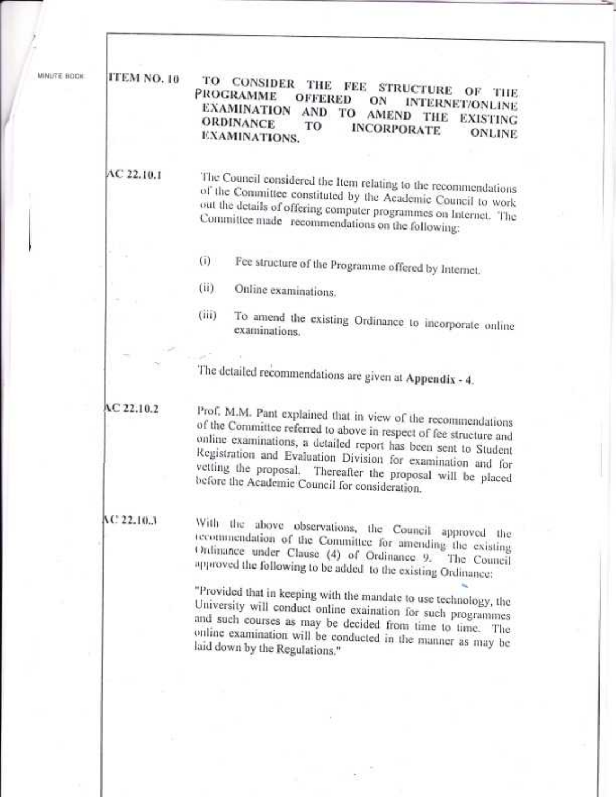| MINUTE BOOK |  |  |  |
|-------------|--|--|--|
|             |  |  |  |
|             |  |  |  |
|             |  |  |  |

#### ITEM NO. 10 TO CONSIDER THE FEE STRUCTURE OF THE PROGRAMME **OFFERED** ON **INTERNET/ONLINE** EXAMINATION AND TO AMEND THE EXISTING **ORDINANCE** TO **INCORPORATE ONLINE** EXAMINATIONS.

### AC 22.10.1

The Council considered the Item relating to the recommendations of the Committee constituted by the Academic Council to work out the details of offering computer programmes on Internet. The Committee made recommendations on the following:

Fee structure of the Programme offered by Internet.  $(i)$ 

 $(ii)$ Online examinations.

To amend the existing Ordinance to incorporate online (iii) examinations.

The detailed recommendations are given at Appendix - 4.

### AC 22.10.2

Prof. M.M. Pant explained that in view of the recommendations of the Committee referred to above in respect of fee structure and online examinations, a detailed report has been sent to Student Registration and Evaluation Division for examination and for vetting the proposal. Thereafter the proposal will be placed before the Academic Council for consideration.

### AC 22.10.3

With the above observations, the Council approved the recommendation of the Committee for amending the existing Ordinance under Clause (4) of Ordinance 9. The Council approved the following to be added to the existing Ordinance:

"Provided that in keeping with the mandate to use technology, the University will conduct online exaination for such programmes and such courses as may be decided from time to time. The online examination will be conducted in the manner as may be laid down by the Regulations."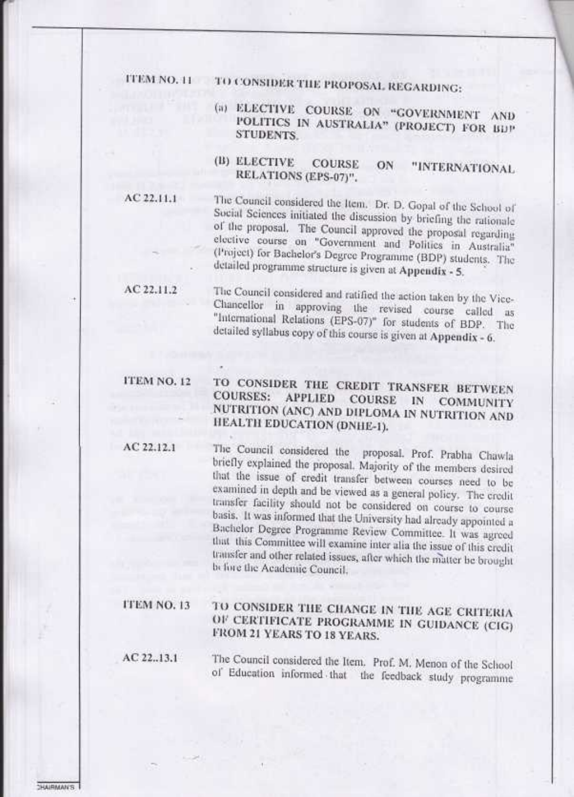ITEM NO. 11 TO CONSIDER THE PROPOSAL REGARDING:

- (a) ELECTIVE COURSE ON "GOVERNMENT AND POLITICS IN AUSTRALIA" (PROJECT) FOR BDP **STUDENTS.**
- (B) ELECTIVE **COURSE** ON "INTERNATIONAL RELATIONS (EPS-07)".

 $AC 22.11.1$ 

The Council considered the Item. Dr. D. Gopal of the School of Social Sciences initiated the discussion by briefing the rationale of the proposal. The Council approved the proposal regarding elective course on "Government and Politics in Australia" (Project) for Bachelor's Degree Programme (BDP) students. The detailed programme structure is given at Appendix - 5.

 $AC 22.11.2$ 

The Council considered and ratified the action taken by the Vice-Chancellor in approving the revised course called as "International Relations (EPS-07)" for students of BDP. The detailed syllabus copy of this course is given at Appendix - 6.

## ITEM NO. 12

#### TO CONSIDER THE CREDIT TRANSFER BETWEEN **COURSES:** APPLIED COURSE IN COMMUNITY NUTRITION (ANC) AND DIPLOMA IN NUTRITION AND HEALTH EDUCATION (DNHE-1).

 $AC22.12.1$ 

The Council considered the proposal. Prof. Prabha Chawla briefly explained the proposal. Majority of the members desired that the issue of credit transfer between courses need to be examined in depth and be viewed as a general policy. The credit transfer facility should not be considered on course to course basis. It was informed that the University had already appointed a Bachelor Degree Programme Review Committee. It was agreed that this Committee will examine inter alia the issue of this credit transfer and other related issues, after which the matter be brought before the Academic Council.

#### **ITEM NO. 13** TO CONSIDER THE CHANGE IN THE AGE CRITERIA OF CERTIFICATE PROGRAMME IN GUIDANCE (CIG) **FROM 21 YEARS TO 18 YEARS.**

 $AC$  22.13.1

The Council considered the Item. Prof. M. Menon of the School of Education informed that the feedback study programme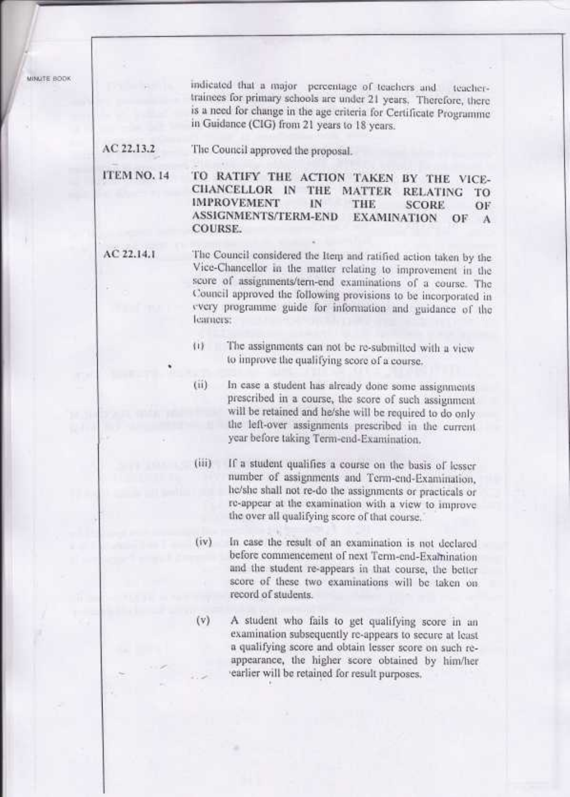MINUTE BODK

indicated that a major percentage of teachers and teachertrainees for primary schools are under 21 years. Therefore, there is a need for change in the age criteria for Certificate Programme in Guidance (CIG) from 21 years to 18 years.

AC 22.13.2 The Council approved the proposal.

ITEM NO. 14 TO RATIFY THE ACTION TAKEN BY THE VICE-CHANCELLOR IN THE MATTER RELATING TO **IMPROVEMENT** IN THE. **SCORE** OF **ASSIGNMENTS/TERM-END EXAMINATION** OF  $\Lambda$ **COURSE.** 

AC 22.14.1 The Council considered the Item and ratified action taken by the Vice-Chancellor in the matter relating to improvement in the score of assignments/tern-end examinations of a course. The Council approved the following provisions to be incorporated in every programme guide for information and guidance of the learners:

- $\overline{11}$ The assignments can not be re-submitted with a view to improve the qualifying score of a course.
- $(iii)$ In case a student has already done some assignments prescribed in a course, the score of such assignment will be retained and he/she will be required to do only the left-over assignments prescribed in the current year before taking Term-end-Examination.
- If a student qualifies a course on the basis of lesser  $(iii)$ number of assignments and Term-end-Examination, he/she shall not re-do the assignments or practicals or re-appear at the examination with a view to improve the over all qualifying score of that course.
- In case the result of an examination is not declared  $(iv)$ before commencement of next Term-end-Examination and the student re-appears in that course, the better score of these two examinations will be taken on record of students.
- $(v)$

A student who fails to get qualifying score in an examination subsequently re-appears to secure at least a qualifying score and obtain lesser score on such reappearance, the higher score obtained by him/her earlier will be retained for result purposes.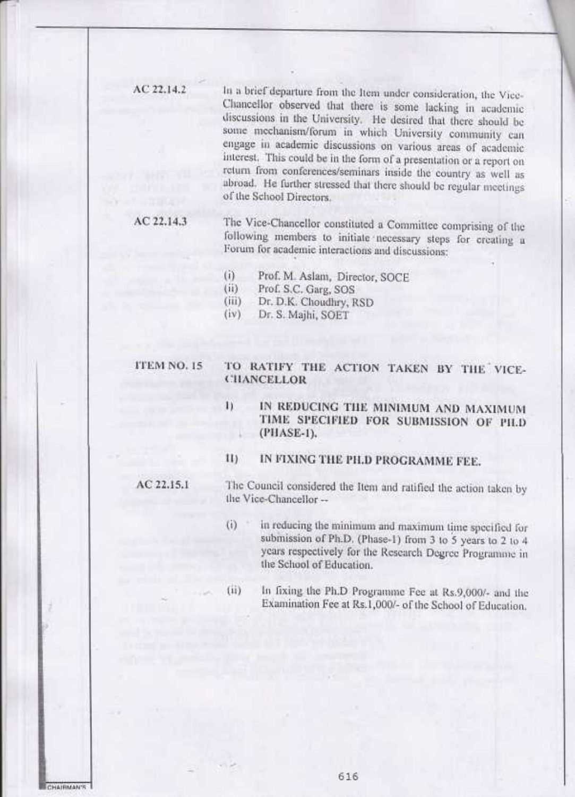AC 22.14.2

In a brief departure from the Item under consideration, the Vice-Chancellor observed that there is some lacking in academic discussions in the University. He desired that there should be some mechanism/forum in which University community can engage in academic discussions on various areas of academic interest. This could be in the form of a presentation or a report on return from conferences/seminars inside the country as well as abroad. He further stressed that there should be regular meetings of the School Directors.

#### $AC22.14.3$

The Vice-Chancellor constituted a Committee comprising of the following members to initiate necessary steps for creating a Forum for academic interactions and discussions:

- Prof. M. Aslam, Director, SOCE  $(i)$
- $(ii)$ Prof. S.C. Garg, SOS
- $(iii)$ Dr. D.K. Choudhry, RSD

Dr. S. Majhi, SOET  $(iv)$ 

## ITEM NO. 15

### TO RATIFY THE ACTION TAKEN BY THE VICE-**CHANCELLOR**

- $\mathbf{I}$ IN REDUCING THE MINIMUM AND MAXIMUM TIME SPECIFIED FOR SUBMISSION OF PILD (PHASE-1).
- IN FIXING THE PH.D PROGRAMME FEE.  $\{1\}$

 $AC22.15.1$ 

The Council considered the Item and ratified the action taken by the Vice-Chancellor --

- $(i)$ in reducing the minimum and maximum time specified for submission of Ph.D. (Phase-1) from 3 to 5 years to 2 to 4 years respectively for the Research Degree Programme in the School of Education.
- $(ii)$

In fixing the Ph.D Programme Fee at Rs.9,000/- and the Examination Fee at Rs.1,000/- of the School of Education.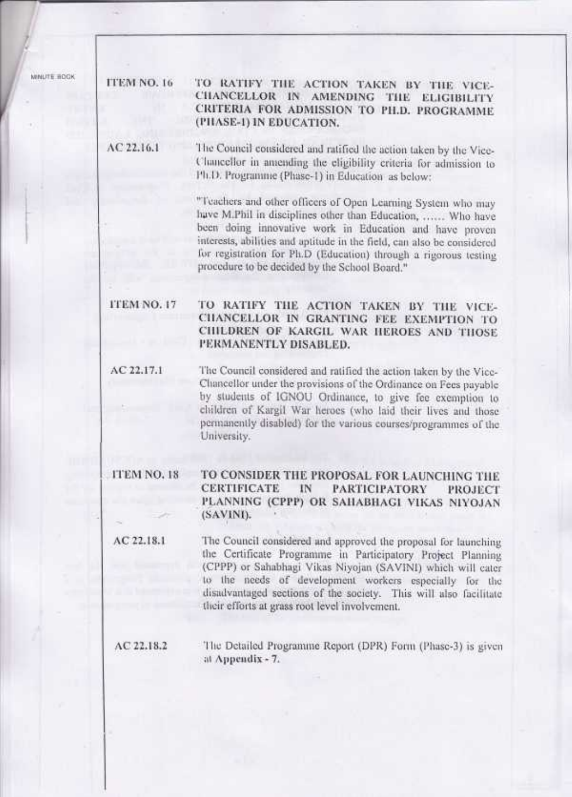MINUTE ROOK

TO RATIFY THE ACTION TAKEN BY THE VICE-**ITEM NO. 16** CHANCELLOR IN AMENDING THE ELIGIBILITY CRITERIA FOR ADMISSION TO PH.D. PROGRAMME (PIIASE-1) IN EDUCATION.

 $AC22.16.1$ The Council considered and ratified the action taken by the Vice-Chancellor in amending the eligibility criteria for admission to Ph.D. Programme (Phase-1) in Education as below:

> "Teachers and other officers of Open Learning System who may have M.Phil in disciplines other than Education, ...... Who have been doing innovative work in Education and have proven interests, abilities and aptitude in the field, can also be considered for registration for Ph.D (Education) through a rigorous testing procedure to be decided by the School Board."

ITEM NO. 17

TO RATIFY THE ACTION TAKEN BY THE VICE-CHANCELLOR IN GRANTING FEE EXEMPTION TO CHILDREN OF KARGIL WAR HEROES AND THOSE PERMANENTLY DISABLED.

AC 22.17.1 The Council considered and ratified the action taken by the Vice-Chancellor under the provisions of the Ordinance on Fees payable by students of IGNOU Ordinance, to give fee exemption to children of Kargil War heroes (who laid their lives and those permanently disabled) for the various courses/programmes of the University.

#### TO CONSIDER THE PROPOSAL FOR LAUNCHING THE **ITEM NO. 18 CERTIFICATE** IN **PARTICIPATORY PROJECT** PLANNING (CPPP) OR SAHABHAGI VIKAS NIYOJAN (SAVINI).

 $AC$  22.18.1 The Council considered and approved the proposal for launching the Certificate Programme in Participatory Project Planning (CPPP) or Sahabhagi Vikas Niyojan (SAVINI) which will cater to the needs of development workers especially for the disadvantaged sections of the society. This will also facilitate their efforts at grass root level involvement.

 $AC22.18.2$ 

The Detailed Programme Report (DPR) Form (Phase-3) is given at Appendix - 7.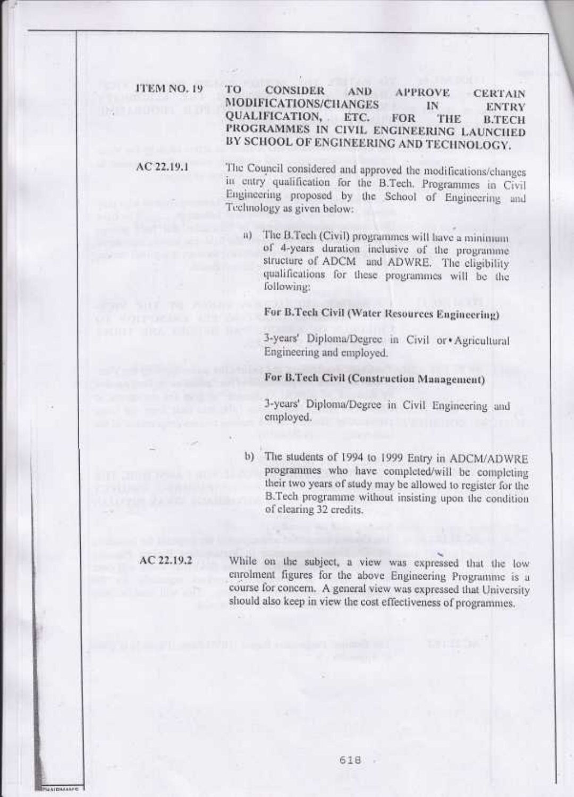**ITEM NO. 19** 

#### TО **CONSIDER** AND. **APPROVE CERTAIN** MODIFICATIONS/CHANGES IN **ENTRY** QUALIFICATION. ETC. **FOR** THE **B.TECH** PROGRAMMES IN CIVIL ENGINEERING LAUNCHED BY SCHOOL OF ENGINEERING AND TECHNOLOGY.

 $AC$  22.19.1

The Council considered and approved the modifications/changes in entry qualification for the B.Tech. Programmes in Civil Engineering proposed by the School of Engineering and Technology as given below:

The B.Tech (Civil) programmes will have a minimum ii) of 4-years duration inclusive of the programme structure of ADCM and ADWRE. The eligibility qualifications for these programmes will be the following:

# For B.Tech Civil (Water Resources Engineering)

3-years' Diploma/Degree in Civil or \*Agricultural Engineering and employed.

# For B.Tech Civil (Construction Management)

3-years' Diploma/Degree in Civil Engineering and employed.

The students of 1994 to 1999 Entry in ADCM/ADWRE  $b)$ programmes who have completed/will be completing their two years of study may be allowed to register for the B.Tech programme without insisting upon the condition of clearing 32 credits.

### AC 22.19.2

 $179448688$ 

While on the subject, a view was expressed that the low enrolment figures for the above Engineering Programme is a course for concern. A general view was expressed that University should also keep in view the cost effectiveness of programmes.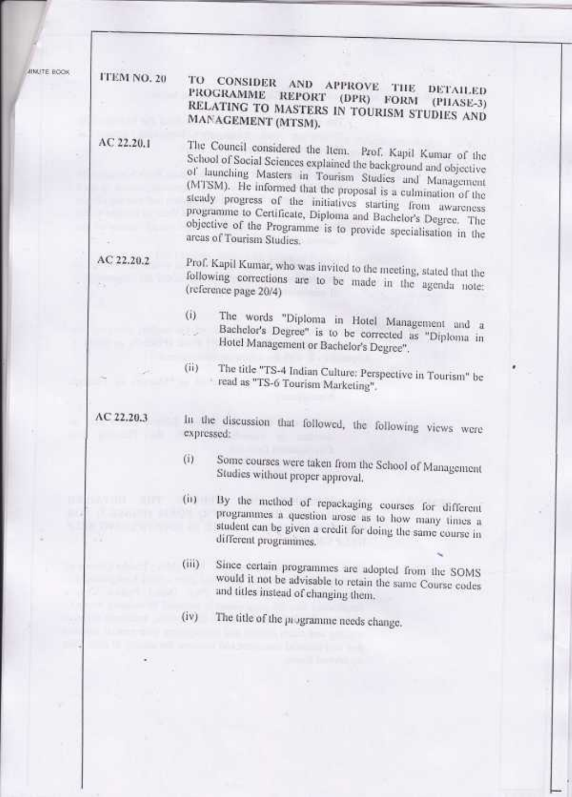**IBILITE BOOK** 

# **ITEM NO. 20**

#### TO CONSIDER AND APPROVE THE DETAILED PROGRAMME REPORT (DPR) FORM (PIIASE-3) RELATING TO MASTERS IN TOURISM STUDIES AND MANAGEMENT (MTSM).

AC 22.20.1

The Council considered the Item. Prof. Kapil Kumar of the School of Social Sciences explained the background and objective of launching Masters in Tourism Studies and Management (MTSM). He informed that the proposal is a culmination of the steady progress of the initiatives starting from awareness programme to Certificate, Diploma and Bachelor's Degree. The objective of the Programme is to provide specialisation in the areas of Tourism Studies.

## AC 22.20.2

Prof. Kapil Kumar, who was invited to the meeting, stated that the following corrections are to be made in the agenda note: (reference page 20/4)

- $(i)$ The words "Diploma in Hotel Management and a Bachelor's Degree" is to be corrected as "Diploma in Hotel Management or Bachelor's Degree".
- The title "TS-4 Indian Culture: Perspective in Tourism" be  $(ii)$ read as "TS-6 Tourism Marketing".

### $AC22.20.3$

In the discussion that followed, the following views were expressed:

- $(ii)$ Some courses were taken from the School of Management Studies without proper approval,
- (ii) By the method of repackaging courses for different programmes a question arose as to how many times a student can be given a credit for doing the same course in different programmes.
- Since certain programmes are adopted from the SOMS  $(iii)$ would it not be advisable to retain the same Course codes and titles instead of changing them.
- The title of the programme needs change.  $(iv)$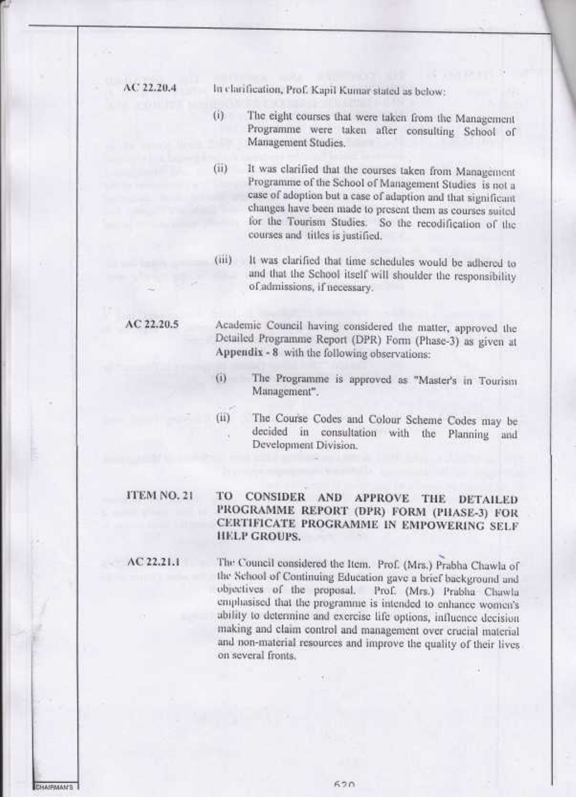$AC22.20.4$ 

In clarification, Prof. Kapil Kumar stated as below:

- $(i)$ The eight courses that were taken from the Management Programme were taken after consulting School of Management Studies.
- $(ii)$ It was clarified that the courses taken from Management Programme of the School of Management Studies is not a case of adoption but a case of adaption and that significant changes have been made to present them as courses suited for the Tourism Studies. So the recodification of the courses and titles is justified.
- It was clarified that time schedules would be adhered to Gii) and that the School itself will shoulder the responsibility of admissions, if necessary.

# AC 22.20.5

Academic Council having considered the matter, approved the Detailed Programme Report (DPR) Form (Phase-3) as given at Appendix - 8 with the following observations:

- The Programme is approved as "Master's in Tourism (i) Management".
- The Course Codes and Colour Scheme Codes may be GD. decided in consultation with the Planning and Development Division.

CONSIDER AND APPROVE THE DETAILED

PROGRAMME REPORT (DPR) FORM (PHASE-3) FOR CERTIFICATE PROGRAMME IN EMPOWERING SELF

# ITEM NO. 21

 $AC22.21.1$ 

# **HELP GROUPS.**

TO

The Council considered the Item. Prof. (Mrs.) Prabha Chawla of the School of Continuing Education gave a brief background and objectives of the proposal. Prof. (Mrs.) Prabha Chawla emphasised that the programme is intended to enhance women's ability to determine and exercise life options, influence decision making and claim control and management over crucial material and non-material resources and improve the quality of their lives on several fronts.